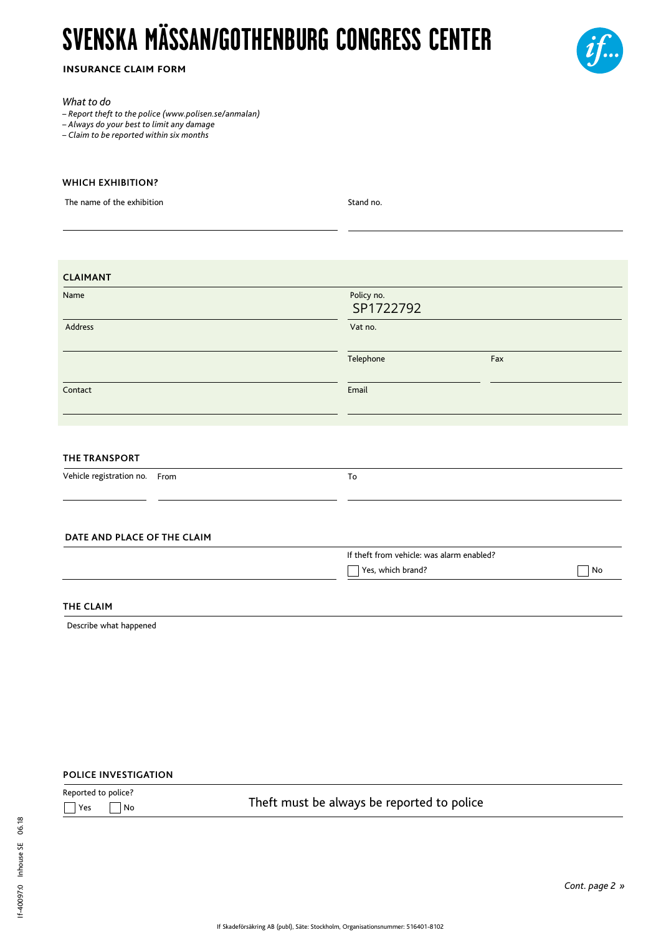# **SVENSKA MÄSSAN/GOTHENBURG CONGRESS CENTER**



**insurance claim form**

#### *What to do*

*– Report theft to the police (www.polisen.se/anmalan)*

*– Always do your best to limit any damage*

*– Claim to be reported within six months*

### **WHICH EXHIBITION?**

The name of the exhibition Stand no.

| <b>CLAIMANT</b>                  |                         |                                           |  |  |
|----------------------------------|-------------------------|-------------------------------------------|--|--|
| Name                             | Policy no.<br>SP1722792 |                                           |  |  |
| Address                          | Vat no.                 |                                           |  |  |
|                                  | Telephone               | Fax                                       |  |  |
| Contact                          | Email                   |                                           |  |  |
|                                  |                         |                                           |  |  |
| <b>THE TRANSPORT</b>             |                         |                                           |  |  |
| Vehicle registration no.<br>From | To                      |                                           |  |  |
|                                  |                         |                                           |  |  |
| DATE AND PLACE OF THE CLAIM      |                         |                                           |  |  |
|                                  |                         | If theft from vehicle: was alarm enabled? |  |  |
|                                  | Yes, which brand?       | ${\sf No}$<br>$\sim$                      |  |  |
| THE CLAIM                        |                         |                                           |  |  |

Describe what happened

## **POLICE INVESTIGATION**

| Reported to police?      |                                            |
|--------------------------|--------------------------------------------|
| $\Box$ Yes<br>$\vert$ No | Theft must be always be reported to police |